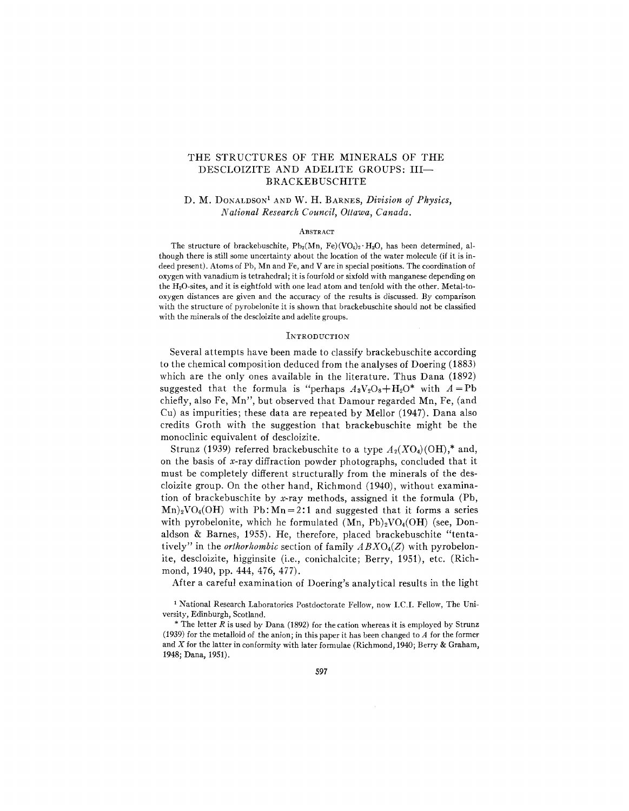# THE STRUCTURES OF THE MINERALS OF THE DESCLOIZITE AND ADELITE GROUPS: III-BRACKEBUSCHITE

## D. M. DONALDSON! AND W. H. BARNES, *Division of Physics, National Research Council, Ottawa, Canada.*

#### **ABSTRACT**

The structure of brackebuschite,  $Pb_2(Mn, Fe)(VO_4)_2 \cdot H_2O$ , has been determined, although there is still some uncertainty about the location of the water molecule (if it is indeed present). Atoms of Pb, Mn and Fe, and V are in special positions. The coordination of oxygen with vanadium is tetrahedral; it is fourfold or sixfold with manganese depending on the H20-sites, and it is eightfold with one lead atom and tenfold with the other. Metal-tooxygen distances are given and the accuracy of the results is discussed. By comparison with the structure of pyrobelonite it is shown that brackebuschite should not be classified with the minerals of the descloizite and adelite groups.

#### **INTRODUCTION**

Several attempts have been made to classify brackebuschite according to the chemical composition deduced from the analyses of Doering (1883) which are the only ones available in the literature. Thus Dana (1892) suggested that the formula is "perhaps  $A_3V_2O_8 + H_2O^*$  with  $A = Pb$ chiefly, also Fe, Mn", but observed that Damour regarded Mn, Fe, (and Cu) as impurities; these data are repeated by Mellor (1947). Dana also credits Groth with the suggestion that brackebuschite might be the monoclinic equivalent of descloizite.

Strunz (1939) referred brackebuschite to a type  $A_2(XO_4)(OH)$ ,<sup>\*</sup> and, on the basis of  $x$ -ray diffraction powder photographs, concluded that it must be completely different structurally from the minerals of the descloizite group. On the other hand, Richmond (1940), without examination of brackebuschite by x-ray methods, assigned it the formula (Pb,  $Mn)_2VO_4(OH)$  with Pb:  $Mn=2:1$  and suggested that it forms a series with pyrobelonite, which he formulated  $(Mn, Pb)<sub>2</sub>VO<sub>4</sub>(OH)$  (see, Donaldson & Barnes, 1955). He, therefore, placed brackebuschite "tentatively" in the *orthorhombic* section of family *ABX04(Z)* with pyrobelonite, descloizite, higginsite (i.e., conichalcite; Berry, 1951), etc. (Richmond, 1940, pp. 444, 476, 477).

After a careful examination of Doering's analytical results in the light

<sup>1</sup> National Research Laboratories Postdoctorate Fellow, now I.C.I. Fellow, The University, Edinburgh, Scotland.

\* The letter  $R$  is used by Dana (1892) for the cation whereas it is employed by Strunz (1939) for the metalloid of the anion; in this paper it has been changed to *A* for the former and X for the latter in conformity with later formulae (Richmond, 1940; Berry & Graham, 1948; Dana, 1951).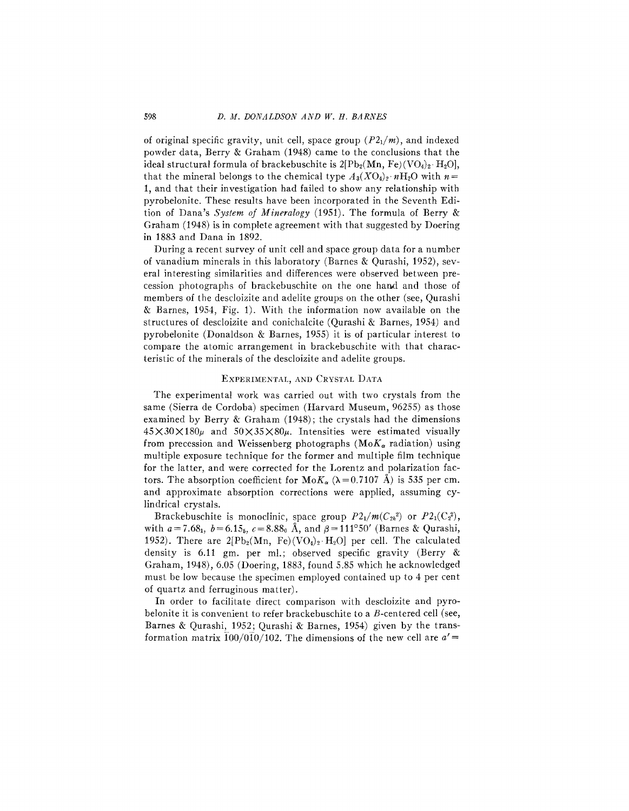of original specific gravity, unit cell, space group *(P21/ m),* and indexed powder data, Berry & Graham (1948) came to the conclusions that the ideal structural formula of brackebuschite is  $2[{\rm Pb}_2({\rm Mn}, {\rm Fe})(\rm VO_4)_2 \cdot {\rm H}_2{\rm O}]$ , that the mineral belongs to the chemical type  $A_3(XO_4)_2 \cdot nH_2O$  with  $n=$ **1,** and that their investigation had failed to show any relationship with pyrobelonite. These results have been incorporated in the Seventh Edition of Dana's *System of Mineralogy* (1951). The formula of Berry & Graham (1948) is in complete agreement with that suggested by Doering in 1883 and Dana in 1892.

During a recent survey of unit cell and space group data for a number of vanadium minerals in this laboratory (Barnes & Qurashi, 1952), several interesting similarities and differences were observed between precession photographs of brackebuschite on the one hand and those of members of the descloizite and adelite groups on the other (see, Qurashi & Barnes, 1954, Fig. 1). With the information now available on the structures of descloizite and conichalcite (Qurashi & Barnes, 1954) and pyrobelonite (Donaldson & Barnes, 1955) it is of particular interest to compare the atomic arrangement in brackebuschite with that characteristic of the minerals of the descloizite and adelite groups.

#### EXPERIMENTAL, AND CRYSTAL DATA

The experimental work was carried out with two crystals from the same (Sierra de Cordoba) specimen (Harvard Museum, 96255) as those examined by Berry & Graham (1948); the crystals had the dimensions  $45\times30\times180\mu$  and  $50\times35\times80\mu$ . Intensities were estimated visually from precession and Weissenberg photographs  $(MoK_{\alpha}$  radiation) using multiple exposure technique for the former and multiple film technique for the latter, and were corrected for the Lorentz and polarization factors. The absorption coefficient for  $M \circ K_{\alpha}$  ( $\lambda = 0.7107$  Å) is 535 per cm. and approximate absorption corrections were applied, assuming cylindrical crystals.

Brackebuschite is monoclinic, space group  $P2_1/m(C_{2h}^2)$  or  $P2_1(C_2^2)$ , with  $a = 7.68_1$ ,  $b = 6.15_5$ ,  $c = 8.88_0$  Å, and  $\beta = 111^{\circ}50'$  (Barnes & Qurashi, 1952). There are  $2[Pb_2(Mn, Fe)(VO_4)_2 \cdot H_2O]$  per cell. The calculated density is 6.11 gm. per m!.; observed specific gravity (Berry & Graham, 1948), 6.05 (Doering, 1883, found 5.85 which he acknowledged must be low because the specimen employed contained up to 4 per cent of quartz and ferruginous matter).

In order to facilitate direct comparison with descloizite and pyrobelonite it is convenient to refer brackebuschite to a *B-centered* cell (see, Barnes & Qurashi, 1952; Qurashi & Barnes, 1954) given by the transformation matrix  $100/010/102$ . The dimensions of the new cell are  $a'$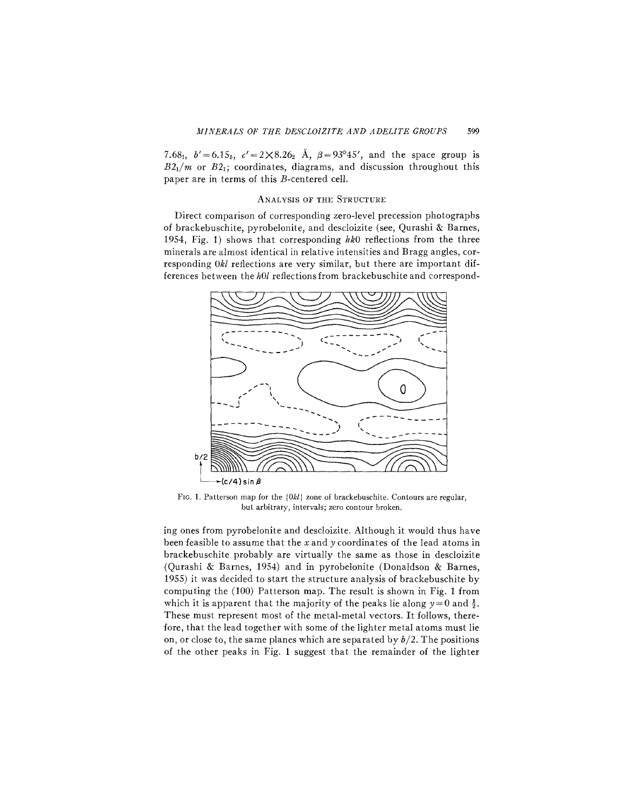7.68<sub>1</sub>,  $b' = 6.15_5$ ,  $c' = 2 \times 8.26_2$  Å,  $\beta = 93^{\circ}45'$ , and the space group is  $B2_1/m$  or  $B2_1$ ; coordinates, diagrams, and discussion throughout this paper are in terms of this B-centered cell.

### ANALYSIS OF THE STRUCTURE

Direct comparison of corresponding zero-level precession photographs of brackebuschite, pyrobelonite, and degcloizite (see, Qurashi & Barnes, 1954, Fig. 1) shows that corresponding *hkO* reflections from the three minerals are almost identical in relative intensities and Bragg angles, corresponding *Okt* reflections are very similar, but there are important differences between the *hot* reflections from brackebuschite and correspond-



FIG. 1. Patterson map for the {Okl} zone of brackebuschite. Contours are regular, but arbitrary, intervals; zero contour broken.

ing ones from pyrobelonite and descloizite. Although it would thus have been feasible to assume that the *x* and *y* coordinates of the lead atoms in brackebuschite probably are virtually the same as those in descloizite (Qurashi & Barnes, 1954) and in pyrobelonite (Donaldson & Barnes, 1955) it was decided to start the structure analysis of brackebuschite by computing the (100) Patterson map. The result is shown in Fig. 1 from which it is apparent that the majority of the peaks lie along  $y=0$  and  $\frac{1}{2}$ . These must represent most of the metal-metal vectors. It follows, therefore, that the lead together with some of the lighter metal atoms must lie on, or close to, the same planes which are separated by *b/2.* The positions of the other peaks in Fig. 1 suggest that the remainder of the lighter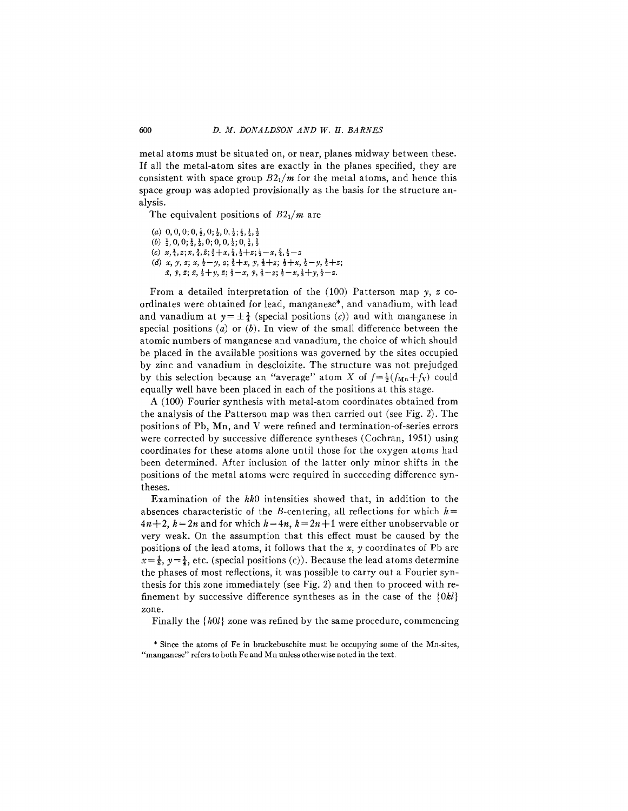metal atoms must be situated on, or near, planes midway between these. If all the metal-atom sites are exactly in the planes specified, they are consistent with space group  $B2<sub>1</sub>/m$  for the metal atoms, and hence this space group was adopted provisionally as the basis for the structure analysis.

The equivalent positions of  $B2<sub>1</sub>/m$  are

 $(a)$  0, 0, 0, 0,  $\frac{1}{2}$ , 0;  $\frac{1}{2}$ , 0,  $\frac{1}{2}$ ;  $\frac{1}{2}$ ,  $\frac{1}{2}$ ,  $\frac{1}{2}$  $(b)$   $\frac{1}{2}$ , 0, 0,  $\frac{1}{2}$ ,  $\frac{1}{2}$ , 0; 0, 0,  $\frac{1}{2}$ ; 0,  $\frac{1}{2}$ ,  $\frac{1}{2}$  $(c)$   $x, \frac{1}{4}, z; \tilde{x}, \frac{3}{4}, \bar{z}; \frac{1}{2}+x, \frac{1}{4}, \frac{1}{2}+z; \frac{1}{2}-x, \frac{3}{4}, \frac{1}{2}-z$ (d) *x, y, z; x,*  $\frac{1}{2} - y$ , *z;*  $\frac{1}{2} + x$ , *y*,  $\frac{1}{2} + z$ ;  $\frac{1}{2} + x$ ,  $\frac{1}{2} - y$ ,  $\frac{1}{2} + z$ ;  $\bar{x}, \bar{y}, \bar{z}; \bar{x}, \frac{1}{2} + y, \bar{z}; \frac{1}{2} - x, \bar{y}, \frac{1}{2} - z; \frac{1}{2} - x, \frac{1}{2} + y, \frac{1}{2} - z.$ 

From a detailed interpretation of the (100) Patterson map  $y$ ,  $z$  coordinates were obtained for lead, manganese\*, and vanadium, with lead and vanadium at  $y=\pm\frac{1}{4}$  (special positions *(c)*) and with manganese in special positions *(a)* or *(b).* In view of the small difference between the atomic numbers of manganese and vanadium, the choice of which should be placed in the available positions was governed by the sites occupied by zinc and vanadium in descloizite. The structure was not prejudged by this selection because an "average" atom *X* of  $f = \frac{1}{2}(f_{Mn} + f_v)$  could equally well have been placed in each of the positions at this stage.

A (100) Fourier synthesis with metal-atom coordinates obtained from the analysis of the Patterson map was then carried out (see Fig. 2). The positions of Pb, Mn, and V were refined and termination-of-series errors were corrected by successive difference syntheses (Cochran, 1951) using coordinates for these atoms alone until those for the oxygen atoms had been determined. After inclusion of the latter only minor shifts in the positions of the metal atoms were required in succeeding difference syntheses.

Examination of the *hkO* intensities showed that, in addition to the absences characteristic of the B-centering, all reflections for which  $h =$  $4n+2$ ,  $k=2n$  and for which  $h=4n$ ,  $k=2n+1$  were either unobservable or very weak. On the assumption that this effect must be caused by the positions of the lead atoms, it follows that the *x, y* coordinates of Pb are  $x=\frac{1}{8}$ ,  $y=\frac{1}{4}$ , etc. (special positions (c)). Because the lead atoms determine the phases of most reflections, it was possible to carry out a Fourier synthesis for this zone immediately (see Fig. 2) and then to proceed with refinement by successive difference syntheses as in the case of the  $\{0kl\}$ zone.

Finally the *{hOl}* zone was refined by the same procedure, commencing

<sup>\*</sup> Since the atoms of Fe in brackebuschite must be occupying some of the Mn-sites, "manganese" refers to both Fe and Mn unless otherwise noted in the text.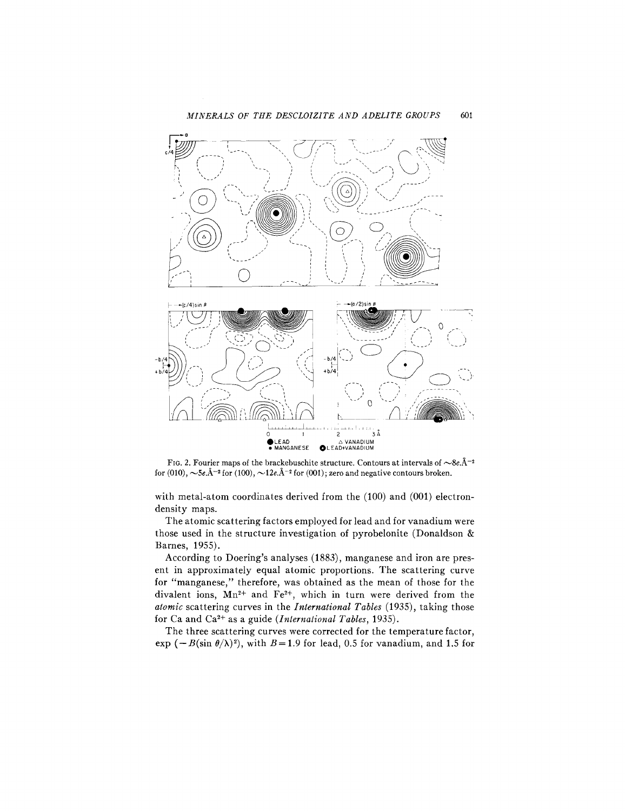

FIG. 2. Fourier maps of the brackebuschite structure. Contours at intervals of  $\sim$ 8e. $\AA$ <sup>-2</sup> for (010),  $\sim$  5e.Å<sup>-2</sup> for (100),  $\sim$  12e.Å<sup>-2</sup> for (001); zero and negative contours broken.

with metal-atom coordinates derived from the (100) and (001) electrondensity maps.

The atomic scattering factors employed for lead and for vanadium were those used in the structure investigation of pyrobelonite (Donaldson & Barnes, 1955).

According to Doering's analyses (1883), manganese and iron are present in approximately equal atomic proportions. The scattering curve for "manganese," therefore, was obtained as the mean of those for the divalent ions, Mn<sup>2+</sup> and Fe<sup>2+</sup>, which in turn were derived from the atomic scattering curves in the International Tables (1935), taking those for Ca and Ca<sup>2+</sup> as a guide (*International Tables*, 1935).

The three scattering curves were corrected for the temperature factor,  $\exp(-B(\sin \theta/\lambda)^2)$ , with  $B=1.9$  for lead, 0.5 for vanadium, and 1.5 for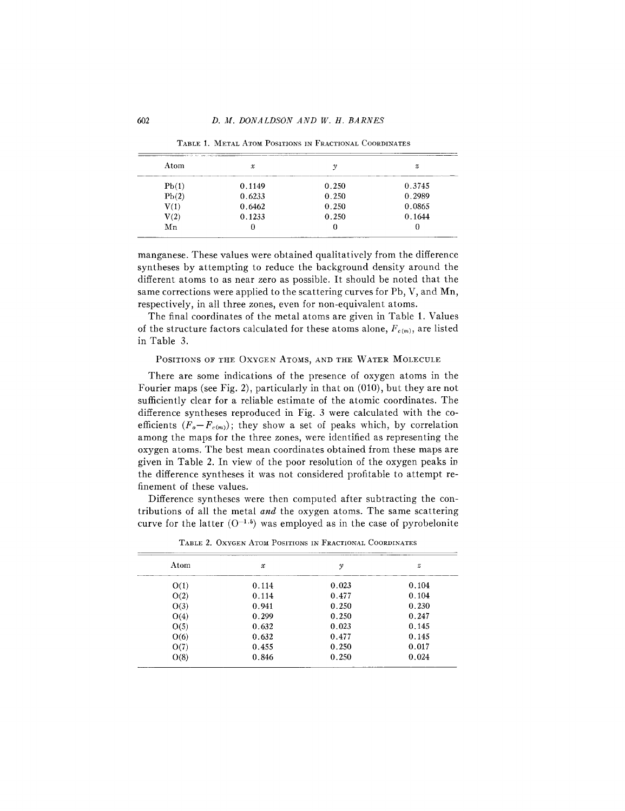| Atom         | x      | v     | z      |  |
|--------------|--------|-------|--------|--|
| Pb(1)        | 0.1149 | 0.250 | 0.3745 |  |
| Pb(2)        | 0.6233 | 0.250 | 0.2989 |  |
| ${\rm V}(1)$ | 0.6462 | 0.250 | 0.0865 |  |
| V(2)         | 0.1233 | 0.250 | 0.1644 |  |
| Mn           |        |       |        |  |

TABLE 1. METAL ATOM POSITIONS IN FRACTIONAL COORDINATES

manganese. These values were obtained qualitatively from the difference syntheses by attempting to reduce the background density around the different atoms to as near zero as possible. It should be noted that the same corrections were applied to the scattering curves for Pb, V, and Mn, respectively, in all three zones, even for non-equivalent atoms.

The final coordinates of the metal atoms are given in Table 1. Values of the structure factors calculated for these atoms alone,  $F_{c(m)}$ , are listed in Table 3.

#### POSITIONS OF THE OXYGEN ATOMS, AND THE WATER MOLECULE

There are some indications of the presence of oxygen atoms in the Fourier maps (see Fig. 2), particularly in that on (010), but they are not sufficiently clear for a reliable estimate of the atomic coordinates. The difference syntheses reproduced in Fig. 3 were calculated with the coefficients  $(F_o-F_{c(m)})$ ; they show a set of peaks which, by correlation among the maps for the three zones, were identified as representing the oxygen atoms. The best mean coordinates obtained from these maps are given in Table 2. In view of the poor resolution of the oxygen peaks in the difference syntheses it was not considered profitable to attempt refinement of these values.

Difference syntheses were then computed after subtracting the contributions of all the metal *and* the oxygen atoms. The same scattering curve for the latter  $(O^{-1.5})$  was employed as in the case of pyrobelonite

| Atom | $\boldsymbol{x}$ | $\gamma$ | z     |
|------|------------------|----------|-------|
| O(1) | 0.114            | 0.023    | 0.104 |
| O(2) | 0.114            | 0.477    | 0.104 |
| O(3) | 0.941            | 0.250    | 0.230 |
| O(4) | 0.299            | 0.250    | 0.247 |
| O(5) | 0.632            | 0.023    | 0.145 |
| O(6) | 0.632            | 0.477    | 0.145 |
| O(7) | 0.455            | 0.250    | 0.017 |
| O(8) | 0.846            | 0.250    | 0.024 |

TABLE 2. OXYGEN ATOM POSITIONS IN FRACTIONAL COORDINATES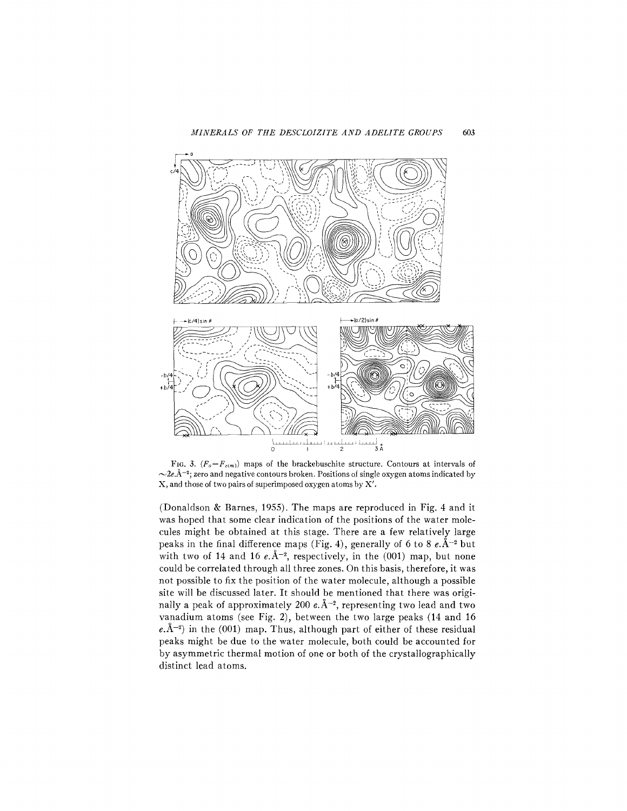

FIG. 3.  $(F_o-F_{o(m)})$  maps of the brackebuschite structure. Contours at intervals of  $\sim$ 2e.Å<sup>-2</sup>; zero and negative contours broken. Positions of single oxygen atoms indicated by X, and those of two pairs of superimposed oxygen atoms by *X'.*

(Donaldson & Barnes, 1955). The maps are reproduced in Fig. 4 and it was hoped that some clear indication of the positions of the water molecules might be obtained at this stage. There are a few relatively large peaks in the final difference maps (Fig. 4), generally of 6 to 8 *e.A-2* but with two of 14 and 16  $e.\AA^{-2}$ , respectively, in the (001) map, but none could be correlated through all three zones. On this basis, therefore, it was not possible to fix the position of the water molecule, although a possible site will be discussed later. It should be mentioned that there was originally a peak of approximately 200  $e.\AA^{-2}$ , representing two lead and two vanadium atoms (see Fig. 2), between the two large peaks (14 and 16  $e.\AA^{-2}$ ) in the (001) map. Thus, although part of either of these residual peaks might be due to the water molecule, both could be accounted for by asymmetric thermal motion of one or both of the crystallographically distinct lead atoms.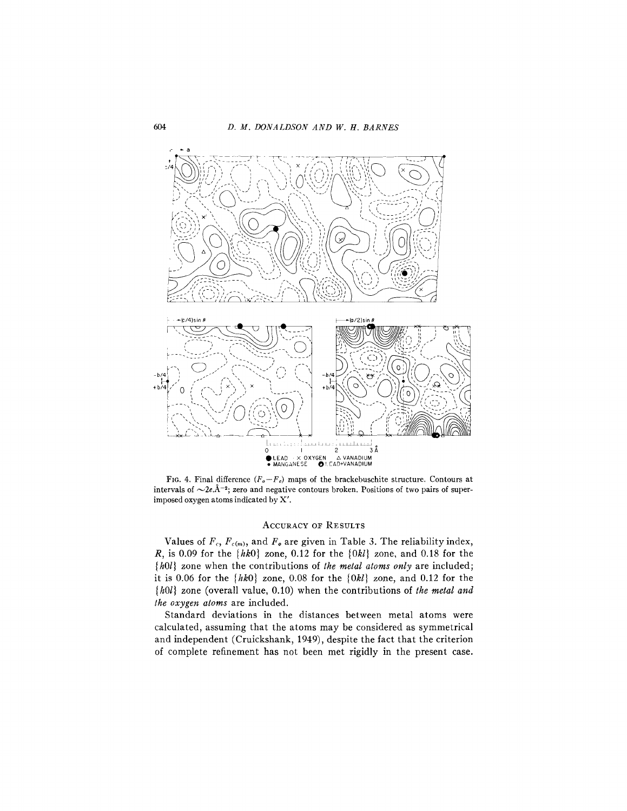

FIG. 4. Final difference  $(F_o - F_c)$  maps of the brackebuschite structure. Contours at intervals of  $\sim$ 2e. $\AA$ <sup>-2</sup>; zero and negative contours broken. Positions of two pairs of superimposed oxygen atoms indicated by X'.

### ACCURACY OF RESULTS

Values of  $F_c$ ,  $F_{c(m)}$ , and  $F_o$  are given in Table 3. The reliability index, *R,* is 0.09 for the {hkO} zone, 0.12 for the *{Okl}* zone, and 0.18 for the *{hOl}* zone when the contributions of *the metal atoms only* are included; it is 0.06 for the *{hkO}* zone, 0.08 for the *{Okl}* zone, and 0.12 for the *{hOl}* zone (overall value, 0.10) when the contributions of *the metal and the oxygen atoms* are included.

Standard deviations in the distances between metal atoms were calculated, assuming that the atoms may be considered as symmetrical and independent (Cruickshank, 1949), despite the fact that the criterion of complete refinement has not been met rigidly in the present case.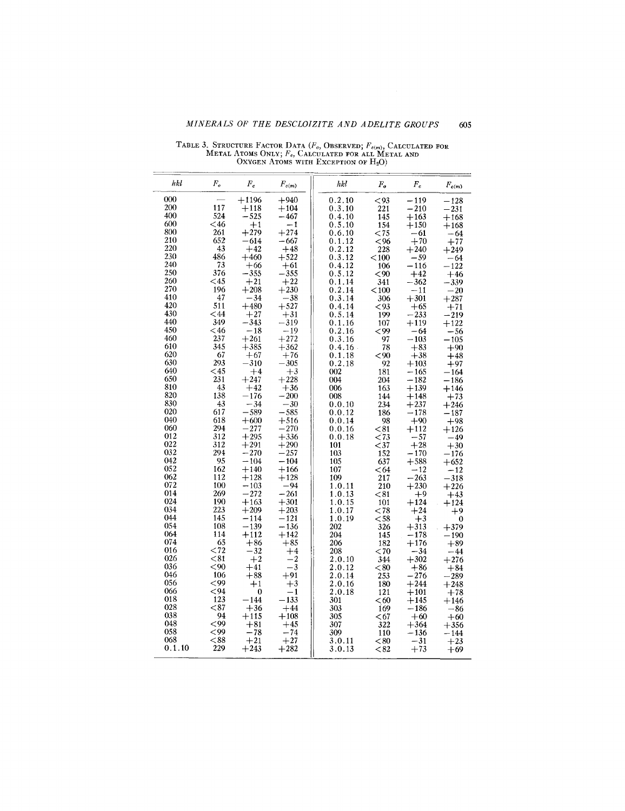| 000<br>$+1196$<br>$+940$<br>0.2.10<br>${}_{< 93}$<br>$-119$<br>$-128$<br>200<br>117<br>$+118$<br>$+104$<br>0.3.10<br>221<br>$-210$<br>$^{-231}$<br>400<br>524<br>$-525$<br>$-467$<br>0.4.10<br>145<br>$+163$<br>$+168$<br>600<br>$<$ 46<br>$+1$<br>$-1$<br>0.5.10<br>154<br>$+150$<br>$+168$<br>800<br>261<br>$+279$<br>$+274$<br>0.6.10<br>${<}75$<br>$-61$<br>$-64$<br>210<br>652<br>$-614$<br>$-667$<br>$+70$<br>${}_{<}96$<br>0.1.12<br>$+77$<br>43<br>220<br>$+48$<br>$+42$<br>0.2.12<br>228<br>$+240$<br>$+249$<br>230<br>486<br>$+460$<br>$+522$<br>< 100<br>$-59$<br>0.3.12<br>$-64$<br>240<br>73<br>$+61$<br>$-116$<br>$+66$<br>0.4.12<br>106<br>$-122$<br>250<br>376<br>$-355$<br>$-355$<br>0.5.12<br><90<br>$+42$<br>$+46$<br>260<br>$<$ 45<br>$+21$<br>$+22$<br>341<br>$-362$<br>0.1.14<br>$-339$<br>270<br>196<br>$+230$<br>$-11$<br>$+208$<br>0.2.14<br>< 100<br>$-20$<br>410<br>47<br>$-34$<br>$-38$<br>$+301$<br>0.3.14<br>306<br>$+287$<br>420<br>511<br>$+480$<br>$+527$<br>0.4.14<br>$+65$<br>${<}93$<br>$+71$<br>430<br>< 44<br>$+31$<br>$+27$<br>199<br>$-233$<br>0.5.14<br>-219<br>440<br>349<br>$-343$<br>$-319$<br>107<br>0.1.16<br>$+119$<br>$+122$<br>450<br>$<$ 46<br>$-18$<br>$-19$<br>$-64$<br>0.2.16<br>${<}99$<br>$-56$<br>$-105$<br>237<br>$-103$<br>460<br>$+261$<br>$+272$<br>97<br>0.3.16<br>$+362$<br>610<br>345<br>$+385$<br>$+83$<br>$78\,$<br>0.4.16<br>$+90$<br>620<br>67<br>$+67$<br>$+76$<br>$+38$<br>0.1.18<br>${}_{<90}$<br>$+48$<br>630<br>293<br>$-310$<br>$-305$<br>0.2.18<br>$+103$<br>92<br>$+97$<br>640<br>$<$ 45<br>$+4$<br>$+3$<br>002<br>181<br>$-165$<br>$-164$<br>650<br>231<br>$+247$<br>$+228$<br>004<br>$-182$<br>204<br>$-186$<br>810<br>43<br>$+42$<br>$+36$<br>$+139$<br>006<br>163<br>$+146$<br>138<br>820<br>$-176$<br>$-200$<br>008<br>144<br>$+148$<br>$+73$<br>830<br>43<br>$-34$<br>$-30$<br>$+237$<br>0.0.10<br>234<br>$+246$<br>020<br>617<br>$-589$<br>$-178$<br>$-585$<br>186<br>$-187$<br>0.0.12<br>040<br>618<br>$+516$<br>$+600$<br>98<br>$+90$<br>0.0.14<br>$+98$<br>060<br>294<br>$^{\rm -277}$<br>$^{-270}$<br>< 81<br>$+112$<br>0.0.16<br>$+126$<br>012<br>312<br>$+295$<br>$+336$<br>$\zeta$ 73<br>$-57$<br>0.0.18<br>$-49$<br>022<br>312<br>$+291$<br>$+290$<br>$\leq$ 37<br>$+28$<br>101<br>$+30$<br>032<br>294<br>$-270$<br>$-257$<br>103<br>$-170$<br>152<br>-176<br>042<br>95<br>$-104$<br>$+588$<br>$-104$<br>105<br>637<br>$+652$<br>162<br>052<br>$-12$<br>$+140$<br>$+166$<br>107<br>$64$<br>$-12$<br>062<br>112<br>$+128$<br>$+128$<br>217<br>$-263$<br>109<br>$-318$<br>072<br>100<br>-94<br>$-103$<br>$+230$<br>$+226$<br>1.0.11<br>210<br>014<br>269<br>$-272$<br>$-261$<br>$+9$<br>1.0.13<br>< 81<br>$+43$<br>024<br>190<br>$+163$<br>$+301$<br>1.0.15<br>101<br>$+124$<br>$+124$<br>034<br>223<br>$+209$<br>$+24$<br>$+203$<br>< 78<br>1.0.17<br>$+9$<br>044<br>145<br>$-114$<br>$-121$<br>$+3$<br>1.0.19<br>$<$ 58 $\,$<br>0<br>054<br>108<br>$-139$<br>$-136$<br>$+313$<br>326<br>202<br>$+379$<br>064<br>114<br>$+112$<br>$+142$<br>204<br>-178<br>145<br>$-190$<br>074<br>65<br>$+85$<br>$+86$<br>206<br>182<br>$+176$<br>$+89$<br>016<br>$<$ 72<br>$-32$<br>$+4$<br>$-34$<br>+302<br>208<br>${<}70$<br>$-44$<br>< 81<br>$+\overline{2}$<br>026<br>$-2$<br>2.0.10<br>344<br>$+276$<br>036<br>$90$<br>$-3$<br>$+41$<br>$+86$<br>2.0.12<br>< 80<br>$+84$<br>046<br>106<br>$+91$<br>$+88$<br>$-276$<br>2.0.14<br>253<br>$-289$<br>$+3$<br>056<br>${<}99$<br>$+244$<br>$+1$<br>2.0.16<br>180<br>$+248$<br>$\leq 94$<br>066<br>$\bf{0}$<br>$-1$<br>$+101$<br>2.0.18<br>121<br>$+78$<br>123<br>018<br>$-133$<br>- 144<br>< 60<br>$+145$<br>301<br>$+146$<br>028<br>${<}87$<br>$+36$<br>$+44$<br>303<br>$-186$<br>169<br>$-86$<br>038<br>94<br>$+115$<br>$+108$<br>305<br>$67$<br>$+60$<br>$+60$<br>${}_{<99}$<br>048<br>$+81$<br>$+45$<br>307<br>322<br>$+364$<br>$+356$ | hkl | $F_{o}$ | $F_{c}$ | $F_{c(m)}$ | hkl | $F_o$ | $F_c$  | $F_{c(m)}$ |
|----------------------------------------------------------------------------------------------------------------------------------------------------------------------------------------------------------------------------------------------------------------------------------------------------------------------------------------------------------------------------------------------------------------------------------------------------------------------------------------------------------------------------------------------------------------------------------------------------------------------------------------------------------------------------------------------------------------------------------------------------------------------------------------------------------------------------------------------------------------------------------------------------------------------------------------------------------------------------------------------------------------------------------------------------------------------------------------------------------------------------------------------------------------------------------------------------------------------------------------------------------------------------------------------------------------------------------------------------------------------------------------------------------------------------------------------------------------------------------------------------------------------------------------------------------------------------------------------------------------------------------------------------------------------------------------------------------------------------------------------------------------------------------------------------------------------------------------------------------------------------------------------------------------------------------------------------------------------------------------------------------------------------------------------------------------------------------------------------------------------------------------------------------------------------------------------------------------------------------------------------------------------------------------------------------------------------------------------------------------------------------------------------------------------------------------------------------------------------------------------------------------------------------------------------------------------------------------------------------------------------------------------------------------------------------------------------------------------------------------------------------------------------------------------------------------------------------------------------------------------------------------------------------------------------------------------------------------------------------------------------------------------------------------------------------------------------------------------------------------------------------------------------------------------------------------------------------------------------------------------------------------------------------------------------------------------------------------------------------------------------------------------------------------------------------------------------------------------------------------------------------------------------------------------------------------------------------------------------------------------------------------------------------------------------------------------------------------------------------------------------------------------------------------------------------------------------------------------------------------------|-----|---------|---------|------------|-----|-------|--------|------------|
|                                                                                                                                                                                                                                                                                                                                                                                                                                                                                                                                                                                                                                                                                                                                                                                                                                                                                                                                                                                                                                                                                                                                                                                                                                                                                                                                                                                                                                                                                                                                                                                                                                                                                                                                                                                                                                                                                                                                                                                                                                                                                                                                                                                                                                                                                                                                                                                                                                                                                                                                                                                                                                                                                                                                                                                                                                                                                                                                                                                                                                                                                                                                                                                                                                                                                                                                                                                                                                                                                                                                                                                                                                                                                                                                                                                                                                                                      |     |         |         |            |     |       |        |            |
|                                                                                                                                                                                                                                                                                                                                                                                                                                                                                                                                                                                                                                                                                                                                                                                                                                                                                                                                                                                                                                                                                                                                                                                                                                                                                                                                                                                                                                                                                                                                                                                                                                                                                                                                                                                                                                                                                                                                                                                                                                                                                                                                                                                                                                                                                                                                                                                                                                                                                                                                                                                                                                                                                                                                                                                                                                                                                                                                                                                                                                                                                                                                                                                                                                                                                                                                                                                                                                                                                                                                                                                                                                                                                                                                                                                                                                                                      |     |         |         |            |     |       |        |            |
|                                                                                                                                                                                                                                                                                                                                                                                                                                                                                                                                                                                                                                                                                                                                                                                                                                                                                                                                                                                                                                                                                                                                                                                                                                                                                                                                                                                                                                                                                                                                                                                                                                                                                                                                                                                                                                                                                                                                                                                                                                                                                                                                                                                                                                                                                                                                                                                                                                                                                                                                                                                                                                                                                                                                                                                                                                                                                                                                                                                                                                                                                                                                                                                                                                                                                                                                                                                                                                                                                                                                                                                                                                                                                                                                                                                                                                                                      |     |         |         |            |     |       |        |            |
|                                                                                                                                                                                                                                                                                                                                                                                                                                                                                                                                                                                                                                                                                                                                                                                                                                                                                                                                                                                                                                                                                                                                                                                                                                                                                                                                                                                                                                                                                                                                                                                                                                                                                                                                                                                                                                                                                                                                                                                                                                                                                                                                                                                                                                                                                                                                                                                                                                                                                                                                                                                                                                                                                                                                                                                                                                                                                                                                                                                                                                                                                                                                                                                                                                                                                                                                                                                                                                                                                                                                                                                                                                                                                                                                                                                                                                                                      |     |         |         |            |     |       |        |            |
|                                                                                                                                                                                                                                                                                                                                                                                                                                                                                                                                                                                                                                                                                                                                                                                                                                                                                                                                                                                                                                                                                                                                                                                                                                                                                                                                                                                                                                                                                                                                                                                                                                                                                                                                                                                                                                                                                                                                                                                                                                                                                                                                                                                                                                                                                                                                                                                                                                                                                                                                                                                                                                                                                                                                                                                                                                                                                                                                                                                                                                                                                                                                                                                                                                                                                                                                                                                                                                                                                                                                                                                                                                                                                                                                                                                                                                                                      |     |         |         |            |     |       |        |            |
|                                                                                                                                                                                                                                                                                                                                                                                                                                                                                                                                                                                                                                                                                                                                                                                                                                                                                                                                                                                                                                                                                                                                                                                                                                                                                                                                                                                                                                                                                                                                                                                                                                                                                                                                                                                                                                                                                                                                                                                                                                                                                                                                                                                                                                                                                                                                                                                                                                                                                                                                                                                                                                                                                                                                                                                                                                                                                                                                                                                                                                                                                                                                                                                                                                                                                                                                                                                                                                                                                                                                                                                                                                                                                                                                                                                                                                                                      |     |         |         |            |     |       |        |            |
|                                                                                                                                                                                                                                                                                                                                                                                                                                                                                                                                                                                                                                                                                                                                                                                                                                                                                                                                                                                                                                                                                                                                                                                                                                                                                                                                                                                                                                                                                                                                                                                                                                                                                                                                                                                                                                                                                                                                                                                                                                                                                                                                                                                                                                                                                                                                                                                                                                                                                                                                                                                                                                                                                                                                                                                                                                                                                                                                                                                                                                                                                                                                                                                                                                                                                                                                                                                                                                                                                                                                                                                                                                                                                                                                                                                                                                                                      |     |         |         |            |     |       |        |            |
|                                                                                                                                                                                                                                                                                                                                                                                                                                                                                                                                                                                                                                                                                                                                                                                                                                                                                                                                                                                                                                                                                                                                                                                                                                                                                                                                                                                                                                                                                                                                                                                                                                                                                                                                                                                                                                                                                                                                                                                                                                                                                                                                                                                                                                                                                                                                                                                                                                                                                                                                                                                                                                                                                                                                                                                                                                                                                                                                                                                                                                                                                                                                                                                                                                                                                                                                                                                                                                                                                                                                                                                                                                                                                                                                                                                                                                                                      |     |         |         |            |     |       |        |            |
|                                                                                                                                                                                                                                                                                                                                                                                                                                                                                                                                                                                                                                                                                                                                                                                                                                                                                                                                                                                                                                                                                                                                                                                                                                                                                                                                                                                                                                                                                                                                                                                                                                                                                                                                                                                                                                                                                                                                                                                                                                                                                                                                                                                                                                                                                                                                                                                                                                                                                                                                                                                                                                                                                                                                                                                                                                                                                                                                                                                                                                                                                                                                                                                                                                                                                                                                                                                                                                                                                                                                                                                                                                                                                                                                                                                                                                                                      |     |         |         |            |     |       |        |            |
|                                                                                                                                                                                                                                                                                                                                                                                                                                                                                                                                                                                                                                                                                                                                                                                                                                                                                                                                                                                                                                                                                                                                                                                                                                                                                                                                                                                                                                                                                                                                                                                                                                                                                                                                                                                                                                                                                                                                                                                                                                                                                                                                                                                                                                                                                                                                                                                                                                                                                                                                                                                                                                                                                                                                                                                                                                                                                                                                                                                                                                                                                                                                                                                                                                                                                                                                                                                                                                                                                                                                                                                                                                                                                                                                                                                                                                                                      |     |         |         |            |     |       |        |            |
|                                                                                                                                                                                                                                                                                                                                                                                                                                                                                                                                                                                                                                                                                                                                                                                                                                                                                                                                                                                                                                                                                                                                                                                                                                                                                                                                                                                                                                                                                                                                                                                                                                                                                                                                                                                                                                                                                                                                                                                                                                                                                                                                                                                                                                                                                                                                                                                                                                                                                                                                                                                                                                                                                                                                                                                                                                                                                                                                                                                                                                                                                                                                                                                                                                                                                                                                                                                                                                                                                                                                                                                                                                                                                                                                                                                                                                                                      |     |         |         |            |     |       |        |            |
|                                                                                                                                                                                                                                                                                                                                                                                                                                                                                                                                                                                                                                                                                                                                                                                                                                                                                                                                                                                                                                                                                                                                                                                                                                                                                                                                                                                                                                                                                                                                                                                                                                                                                                                                                                                                                                                                                                                                                                                                                                                                                                                                                                                                                                                                                                                                                                                                                                                                                                                                                                                                                                                                                                                                                                                                                                                                                                                                                                                                                                                                                                                                                                                                                                                                                                                                                                                                                                                                                                                                                                                                                                                                                                                                                                                                                                                                      |     |         |         |            |     |       |        |            |
|                                                                                                                                                                                                                                                                                                                                                                                                                                                                                                                                                                                                                                                                                                                                                                                                                                                                                                                                                                                                                                                                                                                                                                                                                                                                                                                                                                                                                                                                                                                                                                                                                                                                                                                                                                                                                                                                                                                                                                                                                                                                                                                                                                                                                                                                                                                                                                                                                                                                                                                                                                                                                                                                                                                                                                                                                                                                                                                                                                                                                                                                                                                                                                                                                                                                                                                                                                                                                                                                                                                                                                                                                                                                                                                                                                                                                                                                      |     |         |         |            |     |       |        |            |
|                                                                                                                                                                                                                                                                                                                                                                                                                                                                                                                                                                                                                                                                                                                                                                                                                                                                                                                                                                                                                                                                                                                                                                                                                                                                                                                                                                                                                                                                                                                                                                                                                                                                                                                                                                                                                                                                                                                                                                                                                                                                                                                                                                                                                                                                                                                                                                                                                                                                                                                                                                                                                                                                                                                                                                                                                                                                                                                                                                                                                                                                                                                                                                                                                                                                                                                                                                                                                                                                                                                                                                                                                                                                                                                                                                                                                                                                      |     |         |         |            |     |       |        |            |
|                                                                                                                                                                                                                                                                                                                                                                                                                                                                                                                                                                                                                                                                                                                                                                                                                                                                                                                                                                                                                                                                                                                                                                                                                                                                                                                                                                                                                                                                                                                                                                                                                                                                                                                                                                                                                                                                                                                                                                                                                                                                                                                                                                                                                                                                                                                                                                                                                                                                                                                                                                                                                                                                                                                                                                                                                                                                                                                                                                                                                                                                                                                                                                                                                                                                                                                                                                                                                                                                                                                                                                                                                                                                                                                                                                                                                                                                      |     |         |         |            |     |       |        |            |
|                                                                                                                                                                                                                                                                                                                                                                                                                                                                                                                                                                                                                                                                                                                                                                                                                                                                                                                                                                                                                                                                                                                                                                                                                                                                                                                                                                                                                                                                                                                                                                                                                                                                                                                                                                                                                                                                                                                                                                                                                                                                                                                                                                                                                                                                                                                                                                                                                                                                                                                                                                                                                                                                                                                                                                                                                                                                                                                                                                                                                                                                                                                                                                                                                                                                                                                                                                                                                                                                                                                                                                                                                                                                                                                                                                                                                                                                      |     |         |         |            |     |       |        |            |
|                                                                                                                                                                                                                                                                                                                                                                                                                                                                                                                                                                                                                                                                                                                                                                                                                                                                                                                                                                                                                                                                                                                                                                                                                                                                                                                                                                                                                                                                                                                                                                                                                                                                                                                                                                                                                                                                                                                                                                                                                                                                                                                                                                                                                                                                                                                                                                                                                                                                                                                                                                                                                                                                                                                                                                                                                                                                                                                                                                                                                                                                                                                                                                                                                                                                                                                                                                                                                                                                                                                                                                                                                                                                                                                                                                                                                                                                      |     |         |         |            |     |       |        |            |
|                                                                                                                                                                                                                                                                                                                                                                                                                                                                                                                                                                                                                                                                                                                                                                                                                                                                                                                                                                                                                                                                                                                                                                                                                                                                                                                                                                                                                                                                                                                                                                                                                                                                                                                                                                                                                                                                                                                                                                                                                                                                                                                                                                                                                                                                                                                                                                                                                                                                                                                                                                                                                                                                                                                                                                                                                                                                                                                                                                                                                                                                                                                                                                                                                                                                                                                                                                                                                                                                                                                                                                                                                                                                                                                                                                                                                                                                      |     |         |         |            |     |       |        |            |
|                                                                                                                                                                                                                                                                                                                                                                                                                                                                                                                                                                                                                                                                                                                                                                                                                                                                                                                                                                                                                                                                                                                                                                                                                                                                                                                                                                                                                                                                                                                                                                                                                                                                                                                                                                                                                                                                                                                                                                                                                                                                                                                                                                                                                                                                                                                                                                                                                                                                                                                                                                                                                                                                                                                                                                                                                                                                                                                                                                                                                                                                                                                                                                                                                                                                                                                                                                                                                                                                                                                                                                                                                                                                                                                                                                                                                                                                      |     |         |         |            |     |       |        |            |
|                                                                                                                                                                                                                                                                                                                                                                                                                                                                                                                                                                                                                                                                                                                                                                                                                                                                                                                                                                                                                                                                                                                                                                                                                                                                                                                                                                                                                                                                                                                                                                                                                                                                                                                                                                                                                                                                                                                                                                                                                                                                                                                                                                                                                                                                                                                                                                                                                                                                                                                                                                                                                                                                                                                                                                                                                                                                                                                                                                                                                                                                                                                                                                                                                                                                                                                                                                                                                                                                                                                                                                                                                                                                                                                                                                                                                                                                      |     |         |         |            |     |       |        |            |
|                                                                                                                                                                                                                                                                                                                                                                                                                                                                                                                                                                                                                                                                                                                                                                                                                                                                                                                                                                                                                                                                                                                                                                                                                                                                                                                                                                                                                                                                                                                                                                                                                                                                                                                                                                                                                                                                                                                                                                                                                                                                                                                                                                                                                                                                                                                                                                                                                                                                                                                                                                                                                                                                                                                                                                                                                                                                                                                                                                                                                                                                                                                                                                                                                                                                                                                                                                                                                                                                                                                                                                                                                                                                                                                                                                                                                                                                      |     |         |         |            |     |       |        |            |
|                                                                                                                                                                                                                                                                                                                                                                                                                                                                                                                                                                                                                                                                                                                                                                                                                                                                                                                                                                                                                                                                                                                                                                                                                                                                                                                                                                                                                                                                                                                                                                                                                                                                                                                                                                                                                                                                                                                                                                                                                                                                                                                                                                                                                                                                                                                                                                                                                                                                                                                                                                                                                                                                                                                                                                                                                                                                                                                                                                                                                                                                                                                                                                                                                                                                                                                                                                                                                                                                                                                                                                                                                                                                                                                                                                                                                                                                      |     |         |         |            |     |       |        |            |
|                                                                                                                                                                                                                                                                                                                                                                                                                                                                                                                                                                                                                                                                                                                                                                                                                                                                                                                                                                                                                                                                                                                                                                                                                                                                                                                                                                                                                                                                                                                                                                                                                                                                                                                                                                                                                                                                                                                                                                                                                                                                                                                                                                                                                                                                                                                                                                                                                                                                                                                                                                                                                                                                                                                                                                                                                                                                                                                                                                                                                                                                                                                                                                                                                                                                                                                                                                                                                                                                                                                                                                                                                                                                                                                                                                                                                                                                      |     |         |         |            |     |       |        |            |
|                                                                                                                                                                                                                                                                                                                                                                                                                                                                                                                                                                                                                                                                                                                                                                                                                                                                                                                                                                                                                                                                                                                                                                                                                                                                                                                                                                                                                                                                                                                                                                                                                                                                                                                                                                                                                                                                                                                                                                                                                                                                                                                                                                                                                                                                                                                                                                                                                                                                                                                                                                                                                                                                                                                                                                                                                                                                                                                                                                                                                                                                                                                                                                                                                                                                                                                                                                                                                                                                                                                                                                                                                                                                                                                                                                                                                                                                      |     |         |         |            |     |       |        |            |
|                                                                                                                                                                                                                                                                                                                                                                                                                                                                                                                                                                                                                                                                                                                                                                                                                                                                                                                                                                                                                                                                                                                                                                                                                                                                                                                                                                                                                                                                                                                                                                                                                                                                                                                                                                                                                                                                                                                                                                                                                                                                                                                                                                                                                                                                                                                                                                                                                                                                                                                                                                                                                                                                                                                                                                                                                                                                                                                                                                                                                                                                                                                                                                                                                                                                                                                                                                                                                                                                                                                                                                                                                                                                                                                                                                                                                                                                      |     |         |         |            |     |       |        |            |
|                                                                                                                                                                                                                                                                                                                                                                                                                                                                                                                                                                                                                                                                                                                                                                                                                                                                                                                                                                                                                                                                                                                                                                                                                                                                                                                                                                                                                                                                                                                                                                                                                                                                                                                                                                                                                                                                                                                                                                                                                                                                                                                                                                                                                                                                                                                                                                                                                                                                                                                                                                                                                                                                                                                                                                                                                                                                                                                                                                                                                                                                                                                                                                                                                                                                                                                                                                                                                                                                                                                                                                                                                                                                                                                                                                                                                                                                      |     |         |         |            |     |       |        |            |
|                                                                                                                                                                                                                                                                                                                                                                                                                                                                                                                                                                                                                                                                                                                                                                                                                                                                                                                                                                                                                                                                                                                                                                                                                                                                                                                                                                                                                                                                                                                                                                                                                                                                                                                                                                                                                                                                                                                                                                                                                                                                                                                                                                                                                                                                                                                                                                                                                                                                                                                                                                                                                                                                                                                                                                                                                                                                                                                                                                                                                                                                                                                                                                                                                                                                                                                                                                                                                                                                                                                                                                                                                                                                                                                                                                                                                                                                      |     |         |         |            |     |       |        |            |
|                                                                                                                                                                                                                                                                                                                                                                                                                                                                                                                                                                                                                                                                                                                                                                                                                                                                                                                                                                                                                                                                                                                                                                                                                                                                                                                                                                                                                                                                                                                                                                                                                                                                                                                                                                                                                                                                                                                                                                                                                                                                                                                                                                                                                                                                                                                                                                                                                                                                                                                                                                                                                                                                                                                                                                                                                                                                                                                                                                                                                                                                                                                                                                                                                                                                                                                                                                                                                                                                                                                                                                                                                                                                                                                                                                                                                                                                      |     |         |         |            |     |       |        |            |
|                                                                                                                                                                                                                                                                                                                                                                                                                                                                                                                                                                                                                                                                                                                                                                                                                                                                                                                                                                                                                                                                                                                                                                                                                                                                                                                                                                                                                                                                                                                                                                                                                                                                                                                                                                                                                                                                                                                                                                                                                                                                                                                                                                                                                                                                                                                                                                                                                                                                                                                                                                                                                                                                                                                                                                                                                                                                                                                                                                                                                                                                                                                                                                                                                                                                                                                                                                                                                                                                                                                                                                                                                                                                                                                                                                                                                                                                      |     |         |         |            |     |       |        |            |
|                                                                                                                                                                                                                                                                                                                                                                                                                                                                                                                                                                                                                                                                                                                                                                                                                                                                                                                                                                                                                                                                                                                                                                                                                                                                                                                                                                                                                                                                                                                                                                                                                                                                                                                                                                                                                                                                                                                                                                                                                                                                                                                                                                                                                                                                                                                                                                                                                                                                                                                                                                                                                                                                                                                                                                                                                                                                                                                                                                                                                                                                                                                                                                                                                                                                                                                                                                                                                                                                                                                                                                                                                                                                                                                                                                                                                                                                      |     |         |         |            |     |       |        |            |
|                                                                                                                                                                                                                                                                                                                                                                                                                                                                                                                                                                                                                                                                                                                                                                                                                                                                                                                                                                                                                                                                                                                                                                                                                                                                                                                                                                                                                                                                                                                                                                                                                                                                                                                                                                                                                                                                                                                                                                                                                                                                                                                                                                                                                                                                                                                                                                                                                                                                                                                                                                                                                                                                                                                                                                                                                                                                                                                                                                                                                                                                                                                                                                                                                                                                                                                                                                                                                                                                                                                                                                                                                                                                                                                                                                                                                                                                      |     |         |         |            |     |       |        |            |
|                                                                                                                                                                                                                                                                                                                                                                                                                                                                                                                                                                                                                                                                                                                                                                                                                                                                                                                                                                                                                                                                                                                                                                                                                                                                                                                                                                                                                                                                                                                                                                                                                                                                                                                                                                                                                                                                                                                                                                                                                                                                                                                                                                                                                                                                                                                                                                                                                                                                                                                                                                                                                                                                                                                                                                                                                                                                                                                                                                                                                                                                                                                                                                                                                                                                                                                                                                                                                                                                                                                                                                                                                                                                                                                                                                                                                                                                      |     |         |         |            |     |       |        |            |
|                                                                                                                                                                                                                                                                                                                                                                                                                                                                                                                                                                                                                                                                                                                                                                                                                                                                                                                                                                                                                                                                                                                                                                                                                                                                                                                                                                                                                                                                                                                                                                                                                                                                                                                                                                                                                                                                                                                                                                                                                                                                                                                                                                                                                                                                                                                                                                                                                                                                                                                                                                                                                                                                                                                                                                                                                                                                                                                                                                                                                                                                                                                                                                                                                                                                                                                                                                                                                                                                                                                                                                                                                                                                                                                                                                                                                                                                      |     |         |         |            |     |       |        |            |
|                                                                                                                                                                                                                                                                                                                                                                                                                                                                                                                                                                                                                                                                                                                                                                                                                                                                                                                                                                                                                                                                                                                                                                                                                                                                                                                                                                                                                                                                                                                                                                                                                                                                                                                                                                                                                                                                                                                                                                                                                                                                                                                                                                                                                                                                                                                                                                                                                                                                                                                                                                                                                                                                                                                                                                                                                                                                                                                                                                                                                                                                                                                                                                                                                                                                                                                                                                                                                                                                                                                                                                                                                                                                                                                                                                                                                                                                      |     |         |         |            |     |       |        |            |
|                                                                                                                                                                                                                                                                                                                                                                                                                                                                                                                                                                                                                                                                                                                                                                                                                                                                                                                                                                                                                                                                                                                                                                                                                                                                                                                                                                                                                                                                                                                                                                                                                                                                                                                                                                                                                                                                                                                                                                                                                                                                                                                                                                                                                                                                                                                                                                                                                                                                                                                                                                                                                                                                                                                                                                                                                                                                                                                                                                                                                                                                                                                                                                                                                                                                                                                                                                                                                                                                                                                                                                                                                                                                                                                                                                                                                                                                      |     |         |         |            |     |       |        |            |
|                                                                                                                                                                                                                                                                                                                                                                                                                                                                                                                                                                                                                                                                                                                                                                                                                                                                                                                                                                                                                                                                                                                                                                                                                                                                                                                                                                                                                                                                                                                                                                                                                                                                                                                                                                                                                                                                                                                                                                                                                                                                                                                                                                                                                                                                                                                                                                                                                                                                                                                                                                                                                                                                                                                                                                                                                                                                                                                                                                                                                                                                                                                                                                                                                                                                                                                                                                                                                                                                                                                                                                                                                                                                                                                                                                                                                                                                      |     |         |         |            |     |       |        |            |
|                                                                                                                                                                                                                                                                                                                                                                                                                                                                                                                                                                                                                                                                                                                                                                                                                                                                                                                                                                                                                                                                                                                                                                                                                                                                                                                                                                                                                                                                                                                                                                                                                                                                                                                                                                                                                                                                                                                                                                                                                                                                                                                                                                                                                                                                                                                                                                                                                                                                                                                                                                                                                                                                                                                                                                                                                                                                                                                                                                                                                                                                                                                                                                                                                                                                                                                                                                                                                                                                                                                                                                                                                                                                                                                                                                                                                                                                      |     |         |         |            |     |       |        |            |
|                                                                                                                                                                                                                                                                                                                                                                                                                                                                                                                                                                                                                                                                                                                                                                                                                                                                                                                                                                                                                                                                                                                                                                                                                                                                                                                                                                                                                                                                                                                                                                                                                                                                                                                                                                                                                                                                                                                                                                                                                                                                                                                                                                                                                                                                                                                                                                                                                                                                                                                                                                                                                                                                                                                                                                                                                                                                                                                                                                                                                                                                                                                                                                                                                                                                                                                                                                                                                                                                                                                                                                                                                                                                                                                                                                                                                                                                      |     |         |         |            |     |       |        |            |
|                                                                                                                                                                                                                                                                                                                                                                                                                                                                                                                                                                                                                                                                                                                                                                                                                                                                                                                                                                                                                                                                                                                                                                                                                                                                                                                                                                                                                                                                                                                                                                                                                                                                                                                                                                                                                                                                                                                                                                                                                                                                                                                                                                                                                                                                                                                                                                                                                                                                                                                                                                                                                                                                                                                                                                                                                                                                                                                                                                                                                                                                                                                                                                                                                                                                                                                                                                                                                                                                                                                                                                                                                                                                                                                                                                                                                                                                      |     |         |         |            |     |       |        |            |
|                                                                                                                                                                                                                                                                                                                                                                                                                                                                                                                                                                                                                                                                                                                                                                                                                                                                                                                                                                                                                                                                                                                                                                                                                                                                                                                                                                                                                                                                                                                                                                                                                                                                                                                                                                                                                                                                                                                                                                                                                                                                                                                                                                                                                                                                                                                                                                                                                                                                                                                                                                                                                                                                                                                                                                                                                                                                                                                                                                                                                                                                                                                                                                                                                                                                                                                                                                                                                                                                                                                                                                                                                                                                                                                                                                                                                                                                      |     |         |         |            |     |       |        |            |
|                                                                                                                                                                                                                                                                                                                                                                                                                                                                                                                                                                                                                                                                                                                                                                                                                                                                                                                                                                                                                                                                                                                                                                                                                                                                                                                                                                                                                                                                                                                                                                                                                                                                                                                                                                                                                                                                                                                                                                                                                                                                                                                                                                                                                                                                                                                                                                                                                                                                                                                                                                                                                                                                                                                                                                                                                                                                                                                                                                                                                                                                                                                                                                                                                                                                                                                                                                                                                                                                                                                                                                                                                                                                                                                                                                                                                                                                      |     |         |         |            |     |       |        |            |
|                                                                                                                                                                                                                                                                                                                                                                                                                                                                                                                                                                                                                                                                                                                                                                                                                                                                                                                                                                                                                                                                                                                                                                                                                                                                                                                                                                                                                                                                                                                                                                                                                                                                                                                                                                                                                                                                                                                                                                                                                                                                                                                                                                                                                                                                                                                                                                                                                                                                                                                                                                                                                                                                                                                                                                                                                                                                                                                                                                                                                                                                                                                                                                                                                                                                                                                                                                                                                                                                                                                                                                                                                                                                                                                                                                                                                                                                      |     |         |         |            |     |       |        |            |
|                                                                                                                                                                                                                                                                                                                                                                                                                                                                                                                                                                                                                                                                                                                                                                                                                                                                                                                                                                                                                                                                                                                                                                                                                                                                                                                                                                                                                                                                                                                                                                                                                                                                                                                                                                                                                                                                                                                                                                                                                                                                                                                                                                                                                                                                                                                                                                                                                                                                                                                                                                                                                                                                                                                                                                                                                                                                                                                                                                                                                                                                                                                                                                                                                                                                                                                                                                                                                                                                                                                                                                                                                                                                                                                                                                                                                                                                      |     |         |         |            |     |       |        |            |
|                                                                                                                                                                                                                                                                                                                                                                                                                                                                                                                                                                                                                                                                                                                                                                                                                                                                                                                                                                                                                                                                                                                                                                                                                                                                                                                                                                                                                                                                                                                                                                                                                                                                                                                                                                                                                                                                                                                                                                                                                                                                                                                                                                                                                                                                                                                                                                                                                                                                                                                                                                                                                                                                                                                                                                                                                                                                                                                                                                                                                                                                                                                                                                                                                                                                                                                                                                                                                                                                                                                                                                                                                                                                                                                                                                                                                                                                      |     |         |         |            |     |       |        |            |
|                                                                                                                                                                                                                                                                                                                                                                                                                                                                                                                                                                                                                                                                                                                                                                                                                                                                                                                                                                                                                                                                                                                                                                                                                                                                                                                                                                                                                                                                                                                                                                                                                                                                                                                                                                                                                                                                                                                                                                                                                                                                                                                                                                                                                                                                                                                                                                                                                                                                                                                                                                                                                                                                                                                                                                                                                                                                                                                                                                                                                                                                                                                                                                                                                                                                                                                                                                                                                                                                                                                                                                                                                                                                                                                                                                                                                                                                      |     |         |         |            |     |       |        |            |
|                                                                                                                                                                                                                                                                                                                                                                                                                                                                                                                                                                                                                                                                                                                                                                                                                                                                                                                                                                                                                                                                                                                                                                                                                                                                                                                                                                                                                                                                                                                                                                                                                                                                                                                                                                                                                                                                                                                                                                                                                                                                                                                                                                                                                                                                                                                                                                                                                                                                                                                                                                                                                                                                                                                                                                                                                                                                                                                                                                                                                                                                                                                                                                                                                                                                                                                                                                                                                                                                                                                                                                                                                                                                                                                                                                                                                                                                      |     |         |         |            |     |       |        |            |
|                                                                                                                                                                                                                                                                                                                                                                                                                                                                                                                                                                                                                                                                                                                                                                                                                                                                                                                                                                                                                                                                                                                                                                                                                                                                                                                                                                                                                                                                                                                                                                                                                                                                                                                                                                                                                                                                                                                                                                                                                                                                                                                                                                                                                                                                                                                                                                                                                                                                                                                                                                                                                                                                                                                                                                                                                                                                                                                                                                                                                                                                                                                                                                                                                                                                                                                                                                                                                                                                                                                                                                                                                                                                                                                                                                                                                                                                      |     |         |         |            |     |       |        |            |
|                                                                                                                                                                                                                                                                                                                                                                                                                                                                                                                                                                                                                                                                                                                                                                                                                                                                                                                                                                                                                                                                                                                                                                                                                                                                                                                                                                                                                                                                                                                                                                                                                                                                                                                                                                                                                                                                                                                                                                                                                                                                                                                                                                                                                                                                                                                                                                                                                                                                                                                                                                                                                                                                                                                                                                                                                                                                                                                                                                                                                                                                                                                                                                                                                                                                                                                                                                                                                                                                                                                                                                                                                                                                                                                                                                                                                                                                      |     |         |         |            |     |       |        |            |
|                                                                                                                                                                                                                                                                                                                                                                                                                                                                                                                                                                                                                                                                                                                                                                                                                                                                                                                                                                                                                                                                                                                                                                                                                                                                                                                                                                                                                                                                                                                                                                                                                                                                                                                                                                                                                                                                                                                                                                                                                                                                                                                                                                                                                                                                                                                                                                                                                                                                                                                                                                                                                                                                                                                                                                                                                                                                                                                                                                                                                                                                                                                                                                                                                                                                                                                                                                                                                                                                                                                                                                                                                                                                                                                                                                                                                                                                      |     |         |         |            |     |       |        |            |
|                                                                                                                                                                                                                                                                                                                                                                                                                                                                                                                                                                                                                                                                                                                                                                                                                                                                                                                                                                                                                                                                                                                                                                                                                                                                                                                                                                                                                                                                                                                                                                                                                                                                                                                                                                                                                                                                                                                                                                                                                                                                                                                                                                                                                                                                                                                                                                                                                                                                                                                                                                                                                                                                                                                                                                                                                                                                                                                                                                                                                                                                                                                                                                                                                                                                                                                                                                                                                                                                                                                                                                                                                                                                                                                                                                                                                                                                      |     |         |         |            |     |       |        |            |
|                                                                                                                                                                                                                                                                                                                                                                                                                                                                                                                                                                                                                                                                                                                                                                                                                                                                                                                                                                                                                                                                                                                                                                                                                                                                                                                                                                                                                                                                                                                                                                                                                                                                                                                                                                                                                                                                                                                                                                                                                                                                                                                                                                                                                                                                                                                                                                                                                                                                                                                                                                                                                                                                                                                                                                                                                                                                                                                                                                                                                                                                                                                                                                                                                                                                                                                                                                                                                                                                                                                                                                                                                                                                                                                                                                                                                                                                      |     |         |         |            |     |       |        |            |
|                                                                                                                                                                                                                                                                                                                                                                                                                                                                                                                                                                                                                                                                                                                                                                                                                                                                                                                                                                                                                                                                                                                                                                                                                                                                                                                                                                                                                                                                                                                                                                                                                                                                                                                                                                                                                                                                                                                                                                                                                                                                                                                                                                                                                                                                                                                                                                                                                                                                                                                                                                                                                                                                                                                                                                                                                                                                                                                                                                                                                                                                                                                                                                                                                                                                                                                                                                                                                                                                                                                                                                                                                                                                                                                                                                                                                                                                      | 058 | ${<}99$ | $-78$   | $-74$      | 309 | 110   | $-136$ | - 144      |
| < 88<br>068<br>$+21$<br>$+27$<br>3.0.11<br>$-31$<br>$< \! 80$<br>$+23$                                                                                                                                                                                                                                                                                                                                                                                                                                                                                                                                                                                                                                                                                                                                                                                                                                                                                                                                                                                                                                                                                                                                                                                                                                                                                                                                                                                                                                                                                                                                                                                                                                                                                                                                                                                                                                                                                                                                                                                                                                                                                                                                                                                                                                                                                                                                                                                                                                                                                                                                                                                                                                                                                                                                                                                                                                                                                                                                                                                                                                                                                                                                                                                                                                                                                                                                                                                                                                                                                                                                                                                                                                                                                                                                                                                               |     |         |         |            |     |       |        |            |
| 0.1.10<br>229<br>$+243$<br>$+73$<br>$+282$<br>3.0.13<br>$<\!82$<br>$+69$                                                                                                                                                                                                                                                                                                                                                                                                                                                                                                                                                                                                                                                                                                                                                                                                                                                                                                                                                                                                                                                                                                                                                                                                                                                                                                                                                                                                                                                                                                                                                                                                                                                                                                                                                                                                                                                                                                                                                                                                                                                                                                                                                                                                                                                                                                                                                                                                                                                                                                                                                                                                                                                                                                                                                                                                                                                                                                                                                                                                                                                                                                                                                                                                                                                                                                                                                                                                                                                                                                                                                                                                                                                                                                                                                                                             |     |         |         |            |     |       |        |            |

TABLE 3. STRUCTURE FACTOR DATA  $(F_o, \text{OBSERVED}; F_{c(m)}, \text{CALULATED FOR METAL ATOMS ONLY}; F_o, \text{CALCULATED FOR ALL METAL AND OXYGEN ATOMS WITH EXCEPTION OF H<sub>2</sub>O)$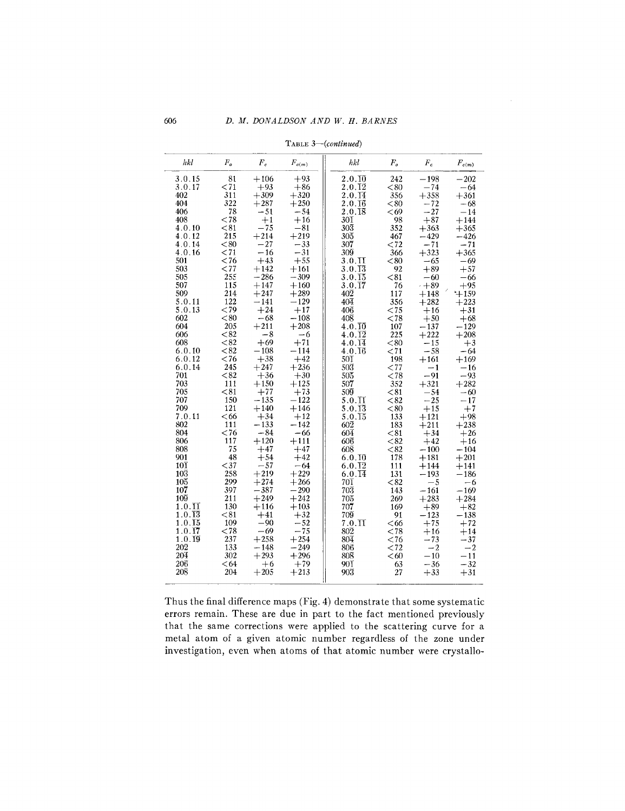| hkl                 | $F_o$      | $F_c$  | $\boldsymbol{F}_{c(m)}$ | hkl                    | F <sub>o</sub> | $F_c$          | $F_{c(m)}$ |
|---------------------|------------|--------|-------------------------|------------------------|----------------|----------------|------------|
| 3.0.15              | 81         | $+106$ | $+93$                   | 2.0.10                 | 242            | $-198$         | $-202$     |
| 3.0.17              | $71$       | $+93$  | $+86$                   | 2.0.12                 | < 80           | $-74$          | $-64$      |
| 402                 | 311        | $+309$ | $+320$                  | 2.0.14                 | 356            | $+358$         | $+361$     |
| 404                 | 322        | $+287$ | $+250$                  | 2.0.16                 | < 80           | $-72$          | $-68$      |
| 406                 | 78         | $-51$  | $-54$                   | 2.0.18                 | < 69           | $-27$          | $-14$      |
| 408                 | < 78       | $+1$   | $+16$                   | $30\overline{1}$       | 98             | $+87$          | $+144$     |
| 4.0.10              | < 81       | $-75$  | $-81$                   | $30\overline{3}$       |                |                |            |
|                     | 215        |        | $+219$                  |                        | 352            | $+363$         | $+365$     |
| 4.0.12              |            | $+214$ |                         | 305                    | 467            | $-429$         | $-426$     |
| 4.0.14              | < 80       | $-27$  | $-33$                   | 307                    | < 72           | $-71$          | $-71$      |
| 4.0.16              | < 71       | $-16$  | $-31$                   | 309                    | 366            | $+323$         | $+365$     |
| 501                 | ${<}76$    | $+43$  | $+55$                   | $3.0.$ $\overline{11}$ | < 80           | $-65$          | - 69       |
| 503                 | ${<}77$    | $+142$ | $+161$                  | 3.0.13                 | 92             | $+89$          | $+57$      |
| 505                 | 255        | $-286$ | $-309$                  | 3.0.15                 | < 81           | $-60$          | $-66$      |
| 507                 | 115        | $+147$ | $+160$                  | 3.0.17                 | 76             | $+89$          | $+95$      |
| 509                 | 214        | $+247$ | $+289$                  | 402                    | 117            | $+148$         | $+159$     |
| 5.0.11              | 122        | $-141$ | $-129$                  | 404                    | 356            | $+282$         | $+223$     |
| 5.0.13              | $<$ 79     | $+24$  | $+17$                   | 406                    | ${<}75$        | $+16$          | $+31$      |
| 602                 | ${}_{<80}$ | $-68$  | $-108$                  | 408                    | ${<}78$        | $+50$          | $+68$      |
| 604                 | 205        | $+211$ | $+208$                  | 4.0.10                 | 107            | $-137$         | $-129$     |
| 606                 | < 82       | $-8$   | -6                      | $4.0.\overline{12}$    | 225            | $+222$         | $+208$     |
| 608                 | < 82       | $+69$  | $+71$                   | $4.0.\overline{14}$    | < 80           | $-15$<br>$-58$ | $+3$       |
| 6.0.10              | < 82       | $-108$ | $-114$                  | 4.0.16                 | ${<}71$        |                | $-64$      |
| 6.0.12              | < 76       | $+38$  | $+42$                   | 50T                    | 198            | $+161$         | $+169$     |
| 6.0.14              | 245        | $+247$ | $+236$                  | 503                    | ${<}77$        | $-1$           | $-16$      |
| 701                 | < 82       | $+36$  | $+30$                   | 505                    | < 78           | $-91$          | $-93$      |
| 703                 | 111        | $+150$ | $+125$                  | 507                    | 352            | $+321$         | $+282$     |
| 705                 | < 81       | $+77$  | $+73$                   | 509                    | < 81           | $-54$          | $-60$      |
| 707                 | 150        | $-135$ | $-122$                  | $5.0.\overline{11}$    | < 82           | $-25$          | $-17$      |
| 709                 | 121        | $+140$ | $+146$                  | 5.0.13                 | < 80           | $+15$          | $+7$       |
| 7.0.11              | $<$ 66     | $+34$  | $+12$                   | $5.0.\overline{15}$    | 133            | $+121$         | $+98$      |
| 802                 | 111        | $-133$ | $-142$                  | 602                    | 183            | $+211$         | $+238$     |
| 804                 | ${<}76$    | $-84$  | $-66$                   | 604                    | < 81           | $+34$          | $+26$      |
| 806                 | 117        | $+120$ | $+111$                  | 606                    | < 82           | $+42$          | $+16$      |
| 808                 | 75         | $+47$  | $+47$                   | 608                    | < 82           | $-100$         | $-104$     |
| 901                 | 48         | $+54$  | $+42$                   | 6.0.10                 | 178            | $+181$         | $+201$     |
| 10 <sub>1</sub>     | $37$       | $-57$  | $-64$                   | 6.0.12                 | 111            | $+144$         | $+141$     |
| $10\overline{3}$    | 258        | $+219$ | $+229$                  | 6.0.14                 | 131            | $-193$         | $-186$     |
| $10\overline{5}$    | 299        | $+274$ | $+266$                  | $70\overline{1}$       | < 82           | $-5$           | -6         |
| 107                 | 397        | $-387$ | $-290$                  | 703                    | 143            | $-161$         | $-169$     |
| $10\overline{9}$    | 211        | $+249$ | $+242$                  | 705                    | 269            | $+283$         | $+284$     |
| 1.0.11              | 130        | $+116$ | $+103$                  | 707                    | 169            | $+89$          |            |
| $1.0.\overline{13}$ | < 81       | $+41$  | $+32$                   |                        |                | $-123$         | $+82$      |
|                     |            |        |                         | 709                    | 91             |                | $-138$     |
| 1.0.15              | 109        | $-90$  | $-52$                   | $7.0.\overline{11}$    | <66            | $+75$          | $+72$      |
| 1.0.17              | ${<}78$    | $-69$  | $-75$                   | 802                    | ${<}78$        | $+16$          | $+14$      |
| $1.0.\overline{19}$ | 237        | $+258$ | $+254$                  | 804                    | $<$ 76         | $-73$          | $-37$      |
| $20\overline{2}$    | 133        | $-148$ | $-249$                  | 80 <sub>6</sub>        | < 72           | $-{\it 2}$     | $-2$       |
| 204                 | 302        | $+293$ | $+296$                  | $80\overline{8}$       | $60$           | $-10$          | $-11$      |
| $20\overline{6}$    | < 64       | $+6$   | $+79$                   | 90T                    | 63             | $-36$          | $-32$      |
| $20\overline{8}$    | 204        | $+205$ | $+213$                  | 903                    | 27             | $+33$          | $+31$      |
|                     |            |        |                         |                        |                |                |            |

TABLE  $3$ -(continued)

 $\bar{\mathcal{A}}$ 

Thus the final difference maps (Fig. 4) demonstrate that some systematic errors remain. These are due in part to the fact mentioned previously that the same corrections were applied to the scattering curve for a metal atom of a given atomic number regardless of the zone under investigation, even when atoms of that atomic number were crystallo-

 $\overline{a}$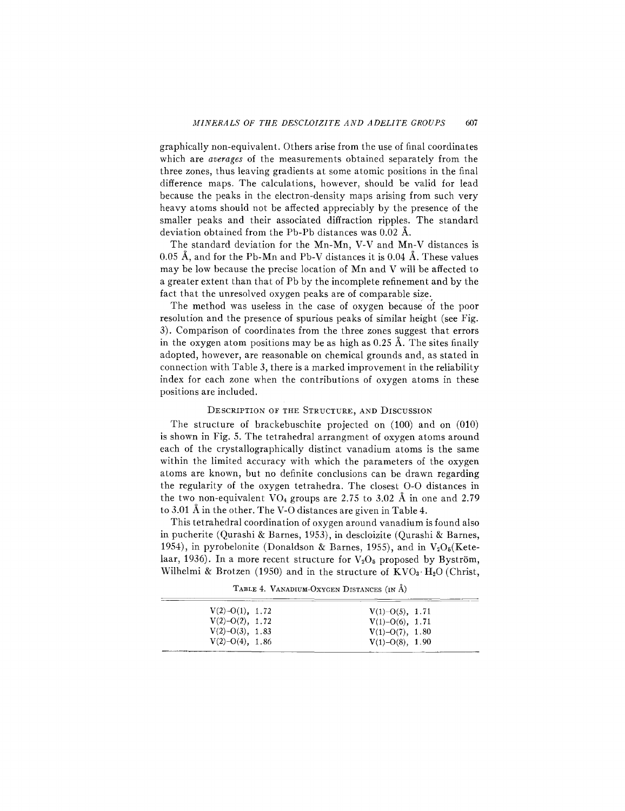graphically non-equivalent. Others arise from the use of final coordinates which are *averages* of the measurements obtained separately from the three zones, thus leaving gradients at some atomic positions in the final difference maps. The calculations, however, should be valid for lead because the peaks in the electron-density maps arising from such very heavy atoms should not be affected appreciably by the presence of the smaller peaks and their associated diffraction ripples. The standard deviation obtained from the Pb-Pb distances was 0.02 A.

The standard deviation for the Mn-Mn, V-V and Mn-V distances is 0.05 Å, and for the Pb-Mn and Pb-V distances it is 0.04 Å. These values may be low because the precise location of Mn and V will be affected to a greater extent than that of Pb by the incomplete refinement and by the fact that the unresolved oxygen peaks are of comparable size.

The method was useless in the case of oxygen because of the poor resolution and the presence of spurious peaks of similar height (see Fig. 3). Comparison of coordinates from the three zones suggest that errors in the oxygen atom positions may be as high as  $0.25$  Å. The sites finally adopted, however, are reasonable on chemical grounds and, as stated in connection with Table 3, there is a marked improvement in the reliability index for each zone when the contributions of oxygen atoms in these positions are included.

### DESCRIPTION OF THE STRUCTURE, AND DISCUSSION

The structure of brackebuschite projected on (100) and on (010) is shown in Fig. 5. The tetrahedral arrangment of oxygen atoms around each of the crystallographically distinct vanadium atoms is the same within the limited accuracy with which the parameters of the oxygen atoms are known, but no definite conclusions can be drawn regarding the regularity of the oxygen tetrahedra. The closest 0-0 distances in the two non-equivalent  $VO_4$  groups are 2.75 to 3.02 Å in one and 2.79 to 3.01 Å in the other. The V-O distances are given in Table 4.

This tetrahedral coordination of oxygen around vanadium is found also in pucherite (Qurashi & Barnes, 1953), in descloizite (Qurashi & Barnes, 1954), in pyrobelonite (Donaldson & Barnes, 1955), and in  $V_2O_6$ (Ketelaar, 1936). In a more recent structure for  $V_2O_5$  proposed by Byström, Wilhelmi & Brotzen (1950) and in the structure of  $KVO_3$   $H_2O$  (Christ,

| $V(2) - O(1)$ , 1.72 | $V(1) - O(5)$ , 1.71 |
|----------------------|----------------------|
| $V(2)-O(2)$ , 1.72   | $V(1) - O(6)$ , 1.71 |
| $V(2) - O(3)$ , 1.83 | $V(1)$ –O(7), 1.80   |
| $V(2)-O(4)$ , 1.86   | $V(1) - O(8)$ , 1.90 |
|                      |                      |

TABLE 4. VANADIUM-OXYGEN DISTANCES (IN A)

Į.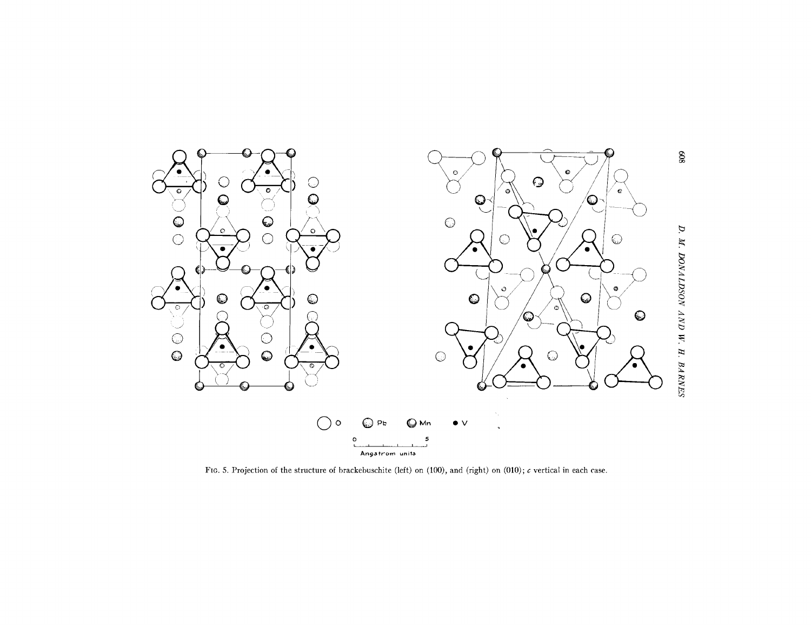

FIG. 5. Projection of the structure of brackebuschite (left) on  $(100)$ , and (right) on  $(010)$ ; c vertical in each case.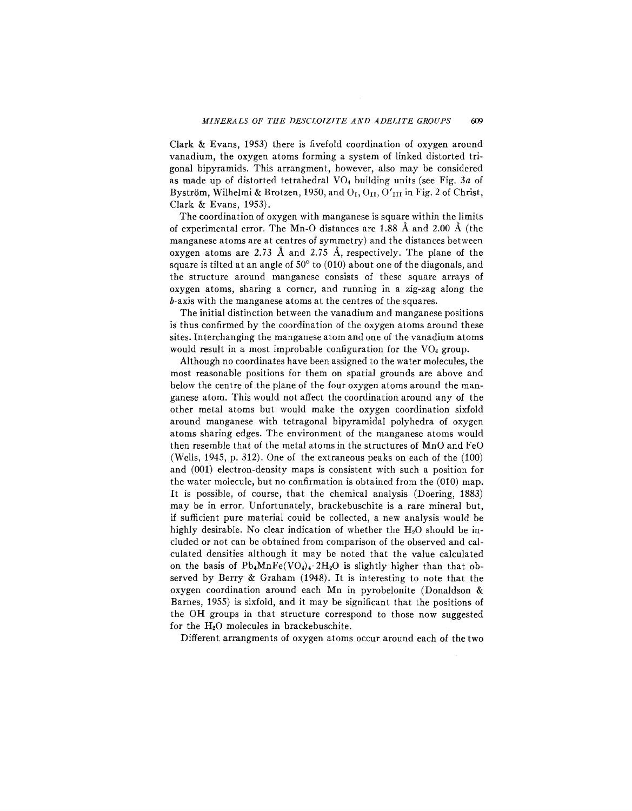Clark & Evans, 1953) there is fivefold coordination of oxygen around vanadium, the oxygen atoms forming a system of linked distorted trigonal bipyramids. This arrangment, however, also may be considered as made up of distorted tetrahedral V04 building units (see Fig. *3a* of Byström, Wilhelmi & Brotzen, 1950, and  $O_I$ ,  $O_{II}$ ,  $O'_{III}$  in Fig. 2 of Christ, Clark & Evans, 1953).

The coordination of oxygen with manganese is square within the limits of experimental error. The Mn-O distances are 1.88 A and 2.00 A (the manganese atoms are at centres of symmetry) and the distances between oxygen atoms are 2.73 A and 2.75 A, respectively. The plane of the square is tilted at an angle of  $50^{\circ}$  to (010) about one of the diagonals, and the structure around manganese consists of these square arrays of oxygen atoms, sharing a corner, and running in a zig-zag along the b-axis with the manganese atoms at the centres of the squares.

The initial distinction between the vanadium and manganese positions is thus confirmed by the coordination of the oxygen atoms around these sites. Interchanging the manganese atom and one of the vanadium atoms would result in a most improbable configuration for the VO<sub>4</sub> group.

Although no coordinates have been assigned to the water molecules, the most reasonable positions for them on spatial grounds are above and below the centre of the plane of the four oxygen atoms around the manganese atom. This would not affect the coordination around any of the other metal atoms but would make the oxygen coordination sixfold around manganese with tetragonal bipyramidal polyhedra of oxygen atoms sharing edges. The environment of the manganese atoms would then resemble that of the metal atoms in the structures of MnO and FeO (Wells, 1945, p. 312). One of the extraneous peaks on each of the (100) and (001) electron-density maps is consistent with such a position for the water molecule, but no confirmation is obtained from the (010) map. It is possible, of course, that the chemical analysis (Doering, 1883) may be in error. Unfortunately, brackebuschite is a rare mineral but, if sufficient pure material could be collected, a new analysis would be highly desirable. No clear indication of whether the  $H_2O$  should be included or not can be obtained from comparison of the observed and calculated densities although it may be noted that the value calculated on the basis of  $Pb_4MnFe(VO_4)_4.2H_2O$  is slightly higher than that observed by Berry & Graham (1948). It is interesting to note that the oxygen coordination around each Mn in pyrobelonite (Donaldson & Barnes, 1955) is sixfold, and it may be significant that the positions of the OH groups in that structure correspond to those now suggested for the H20 molecules in brackebuschite.

Different arrangments of oxygen atoms occur around each of the two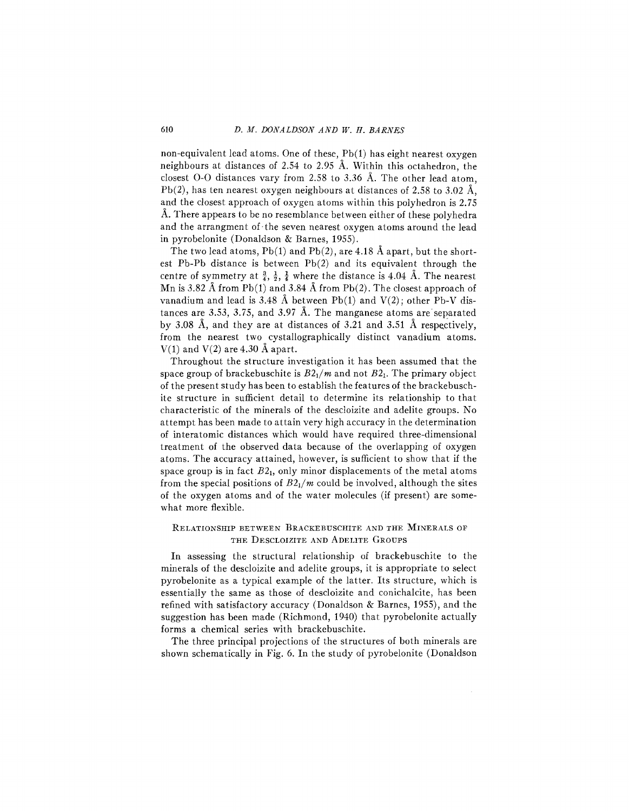non-equivalent lead atoms. One of these,  $Pb(1)$  has eight nearest oxygen neighbours at distances of 2.54 to 2.95 A. Within this octahedron, the closest 0-0 distances vary from 2.58 to 3.36 A. The other lead atom,  $Pb(2)$ , has ten nearest oxygen neighbours at distances of 2.58 to 3.02 Å. and the closest approach of oxygen atoms within this polyhedron is 2.75 A. There appears to be no resemblance between either of these polyhedra and the arrangment of the seven nearest oxygen atoms around the lead in pyrobelonite (Donaldson & Barnes, 1955).

The two lead atoms,  $Pb(1)$  and  $Pb(2)$ , are 4.18 Å apart, but the shortest Pb-Pb distance is between Pb(2) and its equivalent through the centre of symmetry at  $\frac{3}{4}$ ,  $\frac{1}{2}$ ,  $\frac{1}{4}$  where the distance is 4.04 Å. The nearest Mn is 3.82 Å from Pb(1) and 3.84 Å from Pb(2). The closest approach of vanadium and lead is 3.48 Å between Pb(1) and  $V(2)$ ; other Pb-V distances are 3.53, 3.75, and 3.97 Å. The manganese atoms are separated by 3.08  $\AA$ , and they are at distances of 3.21 and 3.51  $\AA$  respectively, from the nearest two cystallographically distinct vanadium atoms.  $V(1)$  and  $V(2)$  are 4.30 Å apart.

Throughout the structure investigation it has been assumed that the space group of brackebuschite is  $B2_1/m$  and not  $B2_1$ . The primary object of the present study has been to establish the features of the brackebuschite structure in sufficient detail to determine its relationship to that characteristic of the minerals of the descloizite and adelite groups. No attempt has been made to attain very high accuracy in the determination of interatomic distances which would have required three-dimensional treatment of the observed data because of the overlapping of oxygen atoms. The accuracy attained, however, is sufficient to show that if the space group is in fact *B21,* only minor displacements of the metal atoms from the special positions of  $B2_1/m$  could be involved, although the sites of the oxygen atoms and of the water molecules (if present) are somewhat more flexible.

### RELATIONSHIP BETWEEN BRACKEBUSCHITE AND THE MINERALS OF THE DESCLOIZITE AND ADELITE GROUPS

In assessing the structural relationship of brackebuschite to the minerals of the descloizite and adelite groups, it is appropriate to select pyrobelonite as a typical example of the latter. Its structure, which is essentially the same as those of descloizite and conichalcite, has been refined with satisfactory accuracy (Donaldson & Barnes, 1955), and the suggestion has been made (Richmond, 1940) that pyrobelonite actually forms a chemical series with brackebuschite.

The three principal projections of the structures of both minerals are shown schematically in Fig. 6. In the study of pyrobelonite (Donaldson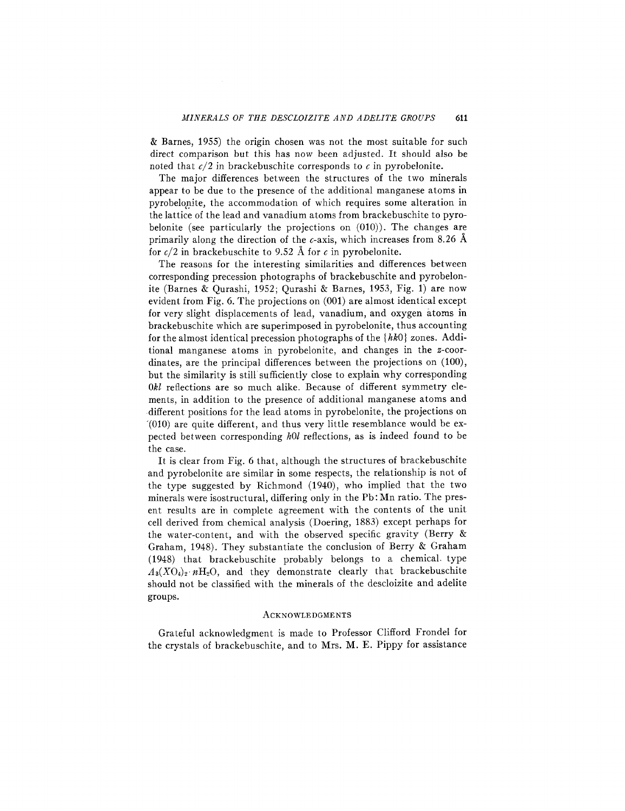& Barnes, 1955) the origin chosen was not the most suitable for such direct comparison but this has now been adjusted. It should also be noted that  $c/2$  in brackebuschite corresponds to  $c$  in pyrobelonite.

The major differences between the structures of the two minerals appear to be due to the presence of the additional manganese atoms in pyrobelonite, the accommodation of which requires some alteration in the lattice of the lead and vanadium atoms from brackebuschite to pyrobelonite (see particularly the projections on (010)). The changes are primarily along the direction of the  $c$ -axis, which increases from 8.26 Å for  $c/2$  in brackebuschite to 9.52 Å for  $c$  in pyrobelonite.

The reasons for the interesting similarities and differences between corresponding precession photographs of brackebuschite and pyrobelonite (Barnes & Qurashi, 1952; Qurashi & Barnes, 1953, Fig. 1) are now evident from Fig. 6. The projections on (001) are almost identical except for very slight displacements of lead, vanadium, and oxygen atoms in brackebuschite which are superimposed in pyrobelonite, thus accounting for the almost identical precession photographs of the  $\{hk0\}$  zones. Additional manganese atoms in pyrobelonite, and changes in the *z-coor*dinates, are the principal differences between the projections on (100), but the similarity is still sufficiently close to explain why corresponding *Okl* reflections are so much alike. Because of different symmetry elements, in addition to the presence of additional manganese atoms and different positions for the lead atoms in pyrobelonite, the projections on  $^{\prime}(010)$  are quite different, and thus very little resemblance would be expected between corresponding *hOl* reflections, as is indeed found to be the case.

It is clear from Fig. 6 that, although the structures of brackebuschite and pyrobelonite are similar in some respects, the relationship is not of the type suggested by Richmond (1940), who implied that the two minerals were isostructural, differing only in the Pb: Mn ratio. The present results are in complete agreement with the contents of the unit cell derived from chemical analysis (Doering, 1883) except perhaps for the water-content, and with the observed specific gravity (Berry & Graham, 1948). They substantiate the conclusion of Berry & Graham (1948) that brackebuschite probably belongs to a chemical, type  $A_8(XO_4)_2 \cdot nH_2O$ , and they demonstrate clearly that brackebuschite should not be classified with the minerals of the descloizite and adelite groups.

#### **ACKNOWLEDGMENTS**

Grateful acknowledgment is made to Professor Clifford Frondel for the crystals of brackebuschite, and to Mrs. M. E. Pippy for assistance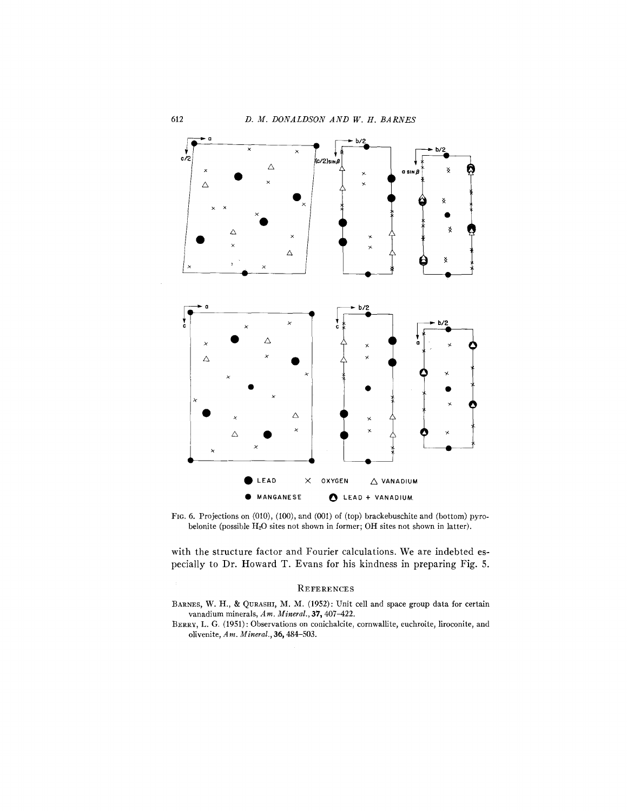

FIG. 6. Projections on (010), (100), and (001) of (top) brackebuschite and (bottom) pyrobelonite (possible  $H_2O$  sites not shown in former; OH sites not shown in latter).

with the structure factor and Fourier calculations. We are indebted especially to Dr. Howard T. Evans for his kindness in preparing Fig. S.

## **REFERENCES**

BARNES, W. H., & QURASHI, M. M. (1952): Unit cell and space group data for certain vanadium minerals, *Am. Mineral.,* 37,407-422.

BERRY,L. G. (1951): Observations on conichalcite, cornwallite, euchroite, liroconite, and olivenite, Am. *Mineral.,* 36,484-503.